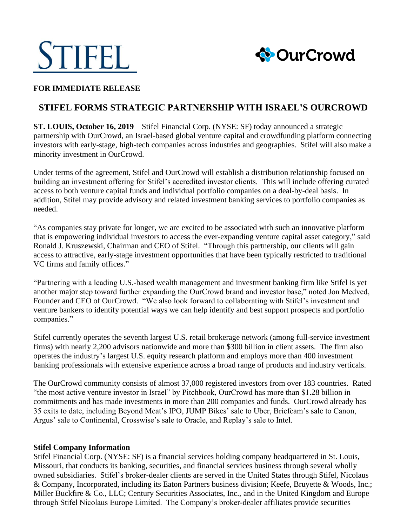



### **FOR IMMEDIATE RELEASE**

# **STIFEL FORMS STRATEGIC PARTNERSHIP WITH ISRAEL'S OURCROWD**

**ST. LOUIS, October 16, 2019** – Stifel Financial Corp. (NYSE: SF) today announced a strategic partnership with OurCrowd, an Israel-based global venture capital and crowdfunding platform connecting investors with early-stage, high-tech companies across industries and geographies. Stifel will also make a minority investment in OurCrowd.

Under terms of the agreement, Stifel and OurCrowd will establish a distribution relationship focused on building an investment offering for Stifel's accredited investor clients. This will include offering curated access to both venture capital funds and individual portfolio companies on a deal-by-deal basis. In addition, Stifel may provide advisory and related investment banking services to portfolio companies as needed.

"As companies stay private for longer, we are excited to be associated with such an innovative platform that is empowering individual investors to access the ever-expanding venture capital asset category," said Ronald J. Kruszewski, Chairman and CEO of Stifel. "Through this partnership, our clients will gain access to attractive, early-stage investment opportunities that have been typically restricted to traditional VC firms and family offices."

"Partnering with a leading U.S.-based wealth management and investment banking firm like Stifel is yet another major step toward further expanding the OurCrowd brand and investor base," noted Jon Medved, Founder and CEO of OurCrowd. "We also look forward to collaborating with Stifel's investment and venture bankers to identify potential ways we can help identify and best support prospects and portfolio companies."

Stifel currently operates the seventh largest U.S. retail brokerage network (among full-service investment firms) with nearly 2,200 advisors nationwide and more than \$300 billion in client assets. The firm also operates the industry's largest U.S. equity research platform and employs more than 400 investment banking professionals with extensive experience across a broad range of products and industry verticals.

The OurCrowd community consists of almost 37,000 registered investors from over 183 countries. Rated "the most active venture investor in Israel" by Pitchbook, OurCrowd has more than \$1.28 billion in commitments and has made investments in more than 200 companies and funds. OurCrowd already has 35 exits to date, including Beyond Meat's IPO, JUMP Bikes' sale to Uber, Briefcam's sale to Canon, Argus' sale to Continental, Crosswise's sale to Oracle, and Replay's sale to Intel.

#### **Stifel Company Information**

Stifel Financial Corp. (NYSE: SF) is a financial services holding company headquartered in St. Louis, Missouri, that conducts its banking, securities, and financial services business through several wholly owned subsidiaries. Stifel's broker-dealer clients are served in the United States through Stifel, Nicolaus & Company, Incorporated, including its Eaton Partners business division; Keefe, Bruyette & Woods, Inc.; Miller Buckfire & Co., LLC; Century Securities Associates, Inc., and in the United Kingdom and Europe through Stifel Nicolaus Europe Limited. The Company's broker-dealer affiliates provide securities